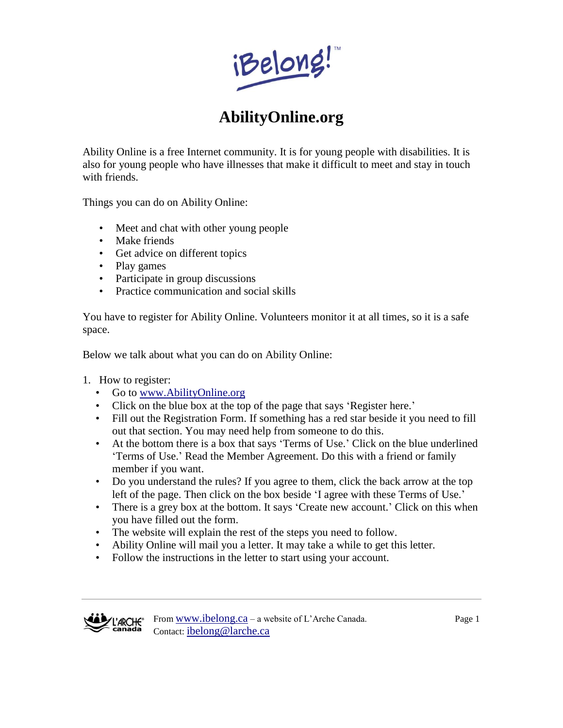iBelong!

## **AbilityOnline.org**

Ability Online is a free Internet community. It is for young people with disabilities. It is also for young people who have illnesses that make it difficult to meet and stay in touch with friends.

Things you can do on Ability Online:

- Meet and chat with other young people
- Make friends
- Get advice on different topics
- Play games
- Participate in group discussions
- Practice communication and social skills

You have to register for Ability Online. Volunteers monitor it at all times, so it is a safe space.

Below we talk about what you can do on Ability Online:

- 1. How to register:
	- Go to [www.AbilityOnline.org](http://www.abilityonline.org/)
	- Click on the blue box at the top of the page that says 'Register here.'
	- Fill out the Registration Form. If something has a red star beside it you need to fill out that section. You may need help from someone to do this.
	- At the bottom there is a box that says 'Terms of Use.' Click on the blue underlined 'Terms of Use.' Read the Member Agreement. Do this with a friend or family member if you want.
	- Do you understand the rules? If you agree to them, click the back arrow at the top left of the page. Then click on the box beside 'I agree with these Terms of Use.'
	- There is a grey box at the bottom. It says 'Create new account.' Click on this when you have filled out the form.
	- The website will explain the rest of the steps you need to follow.
	- Ability Online will mail you a letter. It may take a while to get this letter.
	- Follow the instructions in the letter to start using your account.